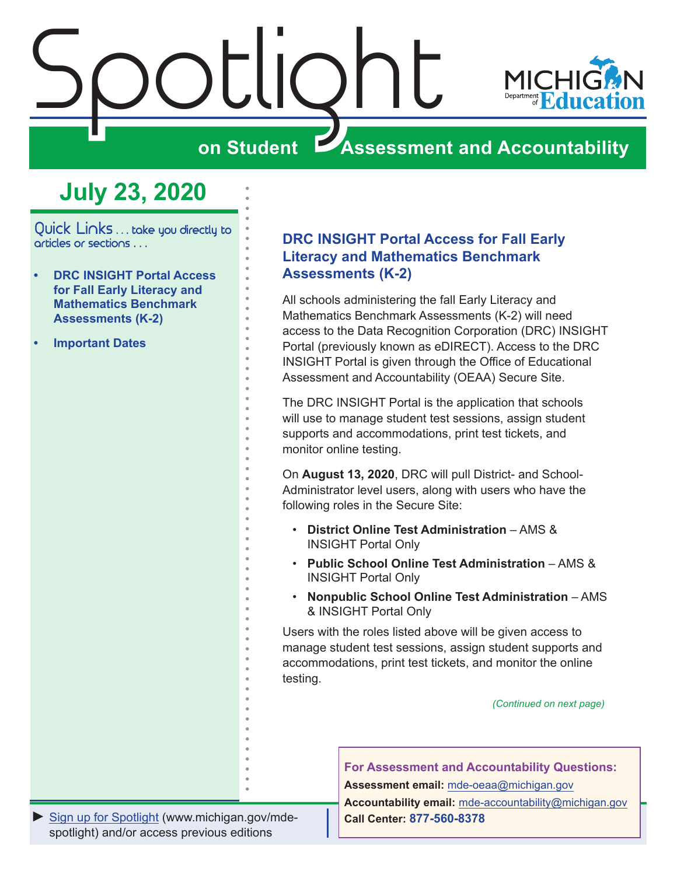<span id="page-0-0"></span>



## **ZASSESSMENT AND ACCOUNTABILITY**

# **July 23, 2020**

Quick Links . . . take you directly to articles or sections . . .

- **• DRC INSIGHT Portal Access for Fall Early Literacy and Mathematics Benchmark Assessments (K-2)**
- **• [Important Dates](#page-1-0)**

#### **DRC INSIGHT Portal Access for Fall Early Literacy and Mathematics Benchmark Assessments (K-2)**

All schools administering the fall Early Literacy and Mathematics Benchmark Assessments (K-2) will need access to the Data Recognition Corporation (DRC) INSIGHT Portal (previously known as eDIRECT). Access to the DRC INSIGHT Portal is given through the Office of Educational Assessment and Accountability (OEAA) Secure Site.

The DRC INSIGHT Portal is the application that schools will use to manage student test sessions, assign student supports and accommodations, print test tickets, and monitor online testing.

On **August 13, 2020**, DRC will pull District- and School-Administrator level users, along with users who have the following roles in the Secure Site:

- **District Online Test Administration** AMS & INSIGHT Portal Only
- **Public School Online Test Administration** AMS & INSIGHT Portal Only
- **Nonpublic School Online Test Administration** AMS & INSIGHT Portal Only

Users with the roles listed above will be given access to manage student test sessions, assign student supports and accommodations, print test tickets, and monitor the online testing.

*(Continued on next page)*

**For Assessment and Accountability Questions:**

**Assessment email:** mde-oeaa[@michigan.gov](mailto:mde-oeaa%40michigan.gov?subject=assessment%20question)

**Accountability email:** mde[-accountability@michigan.gov](mailto:MDE-Accountability%40michigan.gov?subject=Accountability%20question) **Call Center: 877-560-8378**

*►* [Sign up for Spotlight](https://public.govdelivery.com/accounts/MIMDE/subscriber/new) [\(www.michigan.gov/mde](www.michigan.gov/mde-spotlight)spotlight) and/or access previous editions